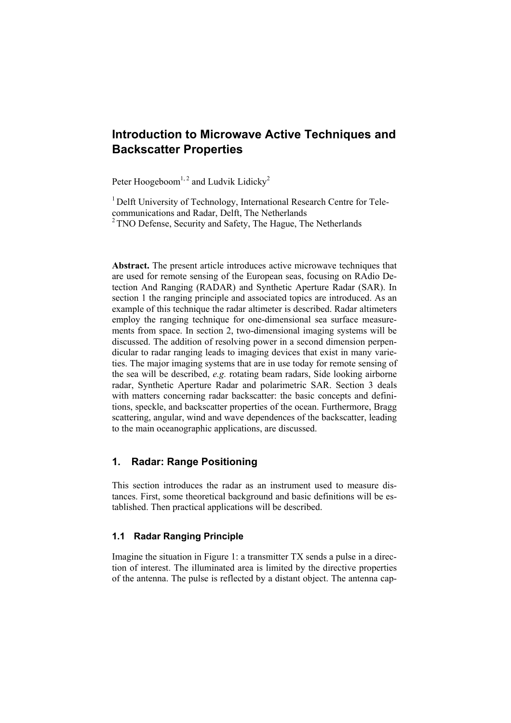# **Introduction to Microwave Active Techniques and Backscatter Properties**

Peter Hoogeboom<sup>1, 2</sup> and Ludvik Lidicky<sup>2</sup>

<sup>1</sup> Delft University of Technology, International Research Centre for Telecommunications and Radar, Delft, The Netherlands  $2$  TNO Defense, Security and Safety. The Hague, The Netherlands

**Abstract.** The present article introduces active microwave techniques that are used for remote sensing of the European seas, focusing on RAdio Detection And Ranging (RADAR) and Synthetic Aperture Radar (SAR). In section 1 the ranging principle and associated topics are introduced. As an example of this technique the radar altimeter is described. Radar altimeters employ the ranging technique for one-dimensional sea surface measurements from space. In section 2, two-dimensional imaging systems will be discussed. The addition of resolving power in a second dimension perpendicular to radar ranging leads to imaging devices that exist in many varieties. The major imaging systems that are in use today for remote sensing of the sea will be described, *e.g.* rotating beam radars, Side looking airborne radar, Synthetic Aperture Radar and polarimetric SAR. Section 3 deals with matters concerning radar backscatter: the basic concepts and definitions, speckle, and backscatter properties of the ocean. Furthermore, Bragg scattering, angular, wind and wave dependences of the backscatter, leading to the main oceanographic applications, are discussed.

# **1. Radar: Range Positioning**

This section introduces the radar as an instrument used to measure distances. First, some theoretical background and basic definitions will be established. Then practical applications will be described.

## **1.1 Radar Ranging Principle**

Imagine the situation in Figure 1: a transmitter TX sends a pulse in a direction of interest. The illuminated area is limited by the directive properties of the antenna. The pulse is reflected by a distant object. The antenna cap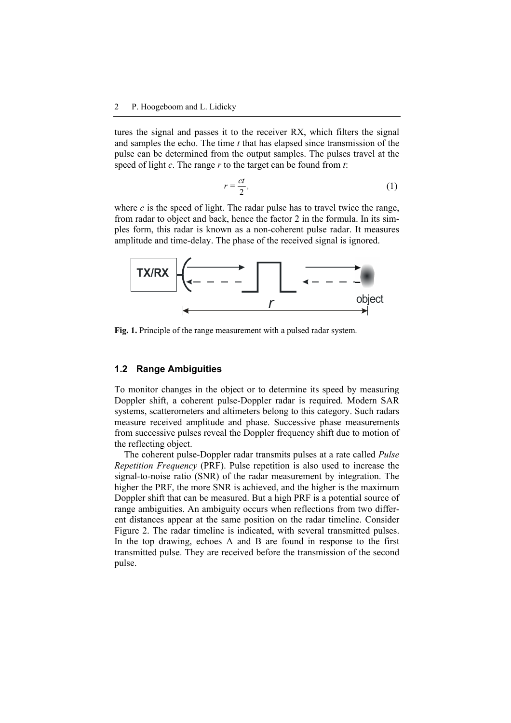tures the signal and passes it to the receiver RX, which filters the signal and samples the echo. The time *t* that has elapsed since transmission of the pulse can be determined from the output samples. The pulses travel at the speed of light *c*. The range *r* to the target can be found from *t*:

$$
r = \frac{ct}{2},\tag{1}
$$

where  $c$  is the speed of light. The radar pulse has to travel twice the range, from radar to object and back, hence the factor 2 in the formula. In its simples form, this radar is known as a non-coherent pulse radar. It measures amplitude and time-delay. The phase of the received signal is ignored.



**Fig. 1.** Principle of the range measurement with a pulsed radar system.

#### **1.2 Range Ambiguities**

To monitor changes in the object or to determine its speed by measuring Doppler shift, a coherent pulse-Doppler radar is required. Modern SAR systems, scatterometers and altimeters belong to this category. Such radars measure received amplitude and phase. Successive phase measurements from successive pulses reveal the Doppler frequency shift due to motion of the reflecting object.

The coherent pulse-Doppler radar transmits pulses at a rate called *Pulse Repetition Frequency* (PRF). Pulse repetition is also used to increase the signal-to-noise ratio (SNR) of the radar measurement by integration. The higher the PRF, the more SNR is achieved, and the higher is the maximum Doppler shift that can be measured. But a high PRF is a potential source of range ambiguities. An ambiguity occurs when reflections from two different distances appear at the same position on the radar timeline. Consider Figure 2. The radar timeline is indicated, with several transmitted pulses. In the top drawing, echoes A and B are found in response to the first transmitted pulse. They are received before the transmission of the second pulse.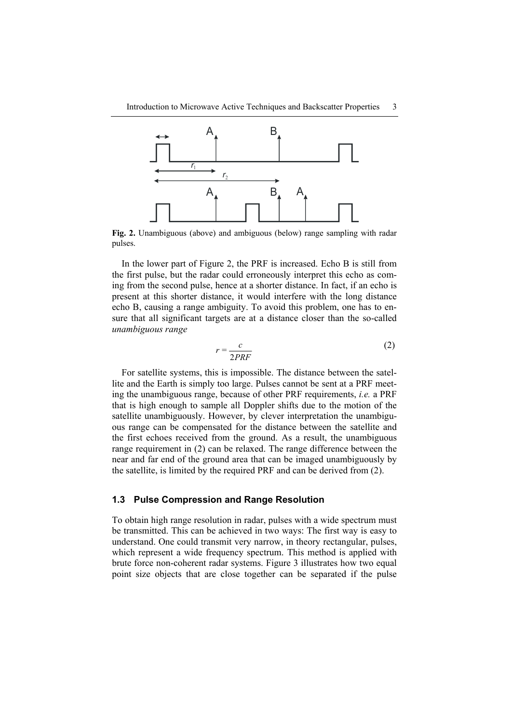

**Fig. 2.** Unambiguous (above) and ambiguous (below) range sampling with radar pulses.

In the lower part of Figure 2, the PRF is increased. Echo B is still from the first pulse, but the radar could erroneously interpret this echo as coming from the second pulse, hence at a shorter distance. In fact, if an echo is present at this shorter distance, it would interfere with the long distance echo B, causing a range ambiguity. To avoid this problem, one has to ensure that all significant targets are at a distance closer than the so-called *unambiguous range* 

$$
r = \frac{c}{2PRF} \tag{2}
$$

For satellite systems, this is impossible. The distance between the satellite and the Earth is simply too large. Pulses cannot be sent at a PRF meeting the unambiguous range, because of other PRF requirements, *i.e.* a PRF that is high enough to sample all Doppler shifts due to the motion of the satellite unambiguously. However, by clever interpretation the unambiguous range can be compensated for the distance between the satellite and the first echoes received from the ground. As a result, the unambiguous range requirement in (2) can be relaxed. The range difference between the near and far end of the ground area that can be imaged unambiguously by the satellite, is limited by the required PRF and can be derived from (2).

#### **1.3 Pulse Compression and Range Resolution**

To obtain high range resolution in radar, pulses with a wide spectrum must be transmitted. This can be achieved in two ways: The first way is easy to understand. One could transmit very narrow, in theory rectangular, pulses, which represent a wide frequency spectrum. This method is applied with brute force non-coherent radar systems. Figure 3 illustrates how two equal point size objects that are close together can be separated if the pulse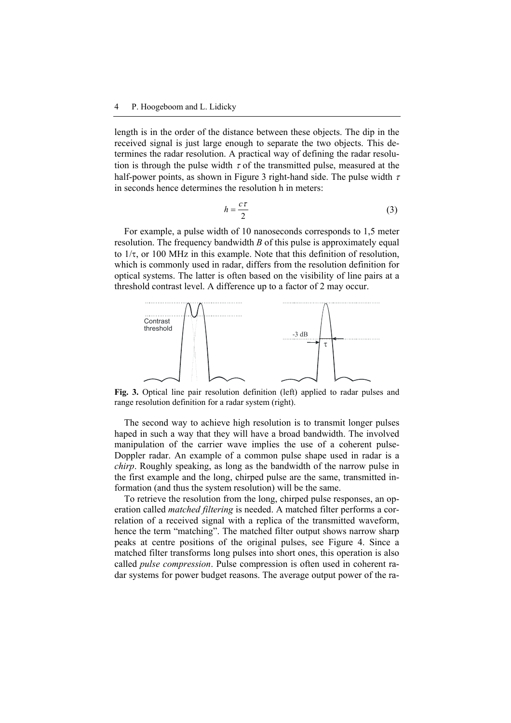length is in the order of the distance between these objects. The dip in the received signal is just large enough to separate the two objects. This determines the radar resolution. A practical way of defining the radar resolution is through the pulse width  $\tau$  of the transmitted pulse, measured at the half-power points, as shown in Figure 3 right-hand side. The pulse width  $\tau$ in seconds hence determines the resolution h in meters:

$$
h = \frac{c\,\tau}{2} \tag{3}
$$

For example, a pulse width of 10 nanoseconds corresponds to 1,5 meter resolution. The frequency bandwidth *B* of this pulse is approximately equal to  $1/\tau$ , or 100 MHz in this example. Note that this definition of resolution, which is commonly used in radar, differs from the resolution definition for optical systems. The latter is often based on the visibility of line pairs at a threshold contrast level. A difference up to a factor of 2 may occur.



**Fig. 3.** Optical line pair resolution definition (left) applied to radar pulses and range resolution definition for a radar system (right).

The second way to achieve high resolution is to transmit longer pulses haped in such a way that they will have a broad bandwidth. The involved manipulation of the carrier wave implies the use of a coherent pulse-Doppler radar. An example of a common pulse shape used in radar is a *chirp*. Roughly speaking, as long as the bandwidth of the narrow pulse in the first example and the long, chirped pulse are the same, transmitted information (and thus the system resolution) will be the same.

To retrieve the resolution from the long, chirped pulse responses, an operation called *matched filtering* is needed. A matched filter performs a correlation of a received signal with a replica of the transmitted waveform, hence the term "matching". The matched filter output shows narrow sharp peaks at centre positions of the original pulses, see Figure 4. Since a matched filter transforms long pulses into short ones, this operation is also called *pulse compression*. Pulse compression is often used in coherent radar systems for power budget reasons. The average output power of the ra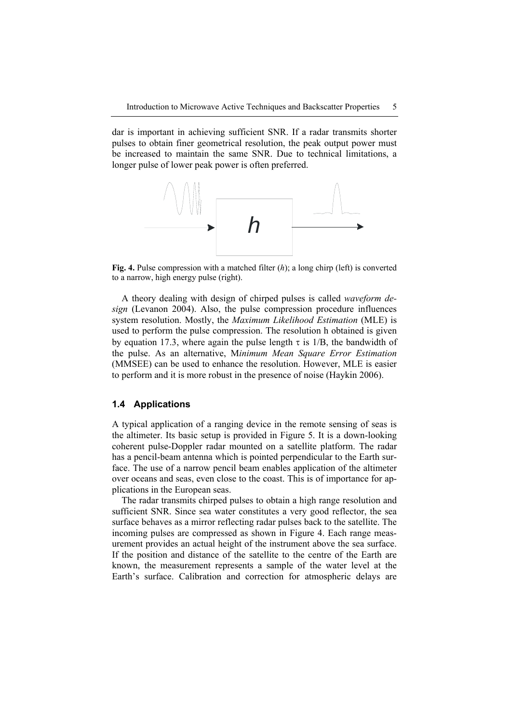dar is important in achieving sufficient SNR. If a radar transmits shorter pulses to obtain finer geometrical resolution, the peak output power must be increased to maintain the same SNR. Due to technical limitations, a longer pulse of lower peak power is often preferred.



**Fig. 4.** Pulse compression with a matched filter (*h*); a long chirp (left) is converted to a narrow, high energy pulse (right).

A theory dealing with design of chirped pulses is called *waveform design* (Levanon 2004). Also, the pulse compression procedure influences system resolution. Mostly, the *Maximum Likelihood Estimation* (MLE) is used to perform the pulse compression. The resolution h obtained is given by equation 17.3, where again the pulse length  $\tau$  is 1/B, the bandwidth of the pulse. As an alternative, M*inimum Mean Square Error Estimation* (MMSEE) can be used to enhance the resolution. However, MLE is easier to perform and it is more robust in the presence of noise (Haykin 2006).

#### **1.4 Applications**

A typical application of a ranging device in the remote sensing of seas is the altimeter. Its basic setup is provided in Figure 5. It is a down-looking coherent pulse-Doppler radar mounted on a satellite platform. The radar has a pencil-beam antenna which is pointed perpendicular to the Earth surface. The use of a narrow pencil beam enables application of the altimeter over oceans and seas, even close to the coast. This is of importance for applications in the European seas.

The radar transmits chirped pulses to obtain a high range resolution and sufficient SNR. Since sea water constitutes a very good reflector, the sea surface behaves as a mirror reflecting radar pulses back to the satellite. The incoming pulses are compressed as shown in Figure 4. Each range measurement provides an actual height of the instrument above the sea surface. If the position and distance of the satellite to the centre of the Earth are known, the measurement represents a sample of the water level at the Earth's surface. Calibration and correction for atmospheric delays are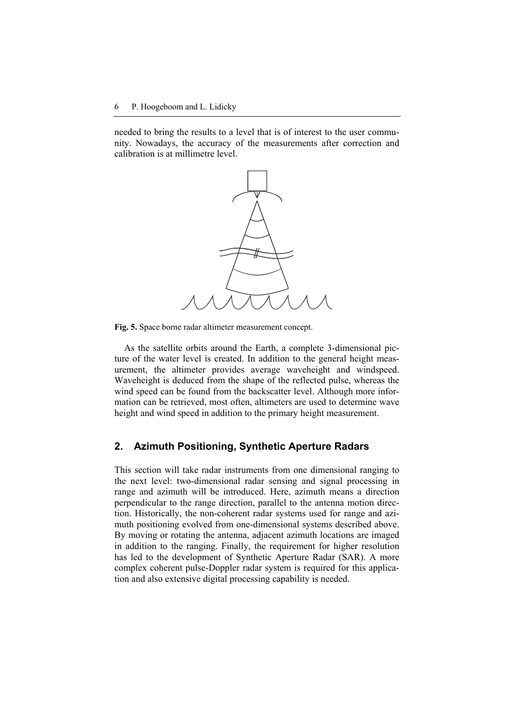needed to bring the results to a level that is of interest to the user community. Nowadays, the accuracy of the measurements after correction and calibration is at millimetre level.



**Fig. 5.** Space borne radar altimeter measurement concept.

As the satellite orbits around the Earth, a complete 3-dimensional picture of the water level is created. In addition to the general height measurement, the altimeter provides average waveheight and windspeed. Waveheight is deduced from the shape of the reflected pulse, whereas the wind speed can be found from the backscatter level. Although more information can be retrieved, most often, altimeters are used to determine wave height and wind speed in addition to the primary height measurement.

# **2. Azimuth Positioning, Synthetic Aperture Radars**

This section will take radar instruments from one dimensional ranging to the next level: two-dimensional radar sensing and signal processing in range and azimuth will be introduced. Here, azimuth means a direction perpendicular to the range direction, parallel to the antenna motion direction. Historically, the non-coherent radar systems used for range and azimuth positioning evolved from one-dimensional systems described above. By moving or rotating the antenna, adjacent azimuth locations are imaged in addition to the ranging. Finally, the requirement for higher resolution has led to the development of Synthetic Aperture Radar (SAR). A more complex coherent pulse-Doppler radar system is required for this application and also extensive digital processing capability is needed.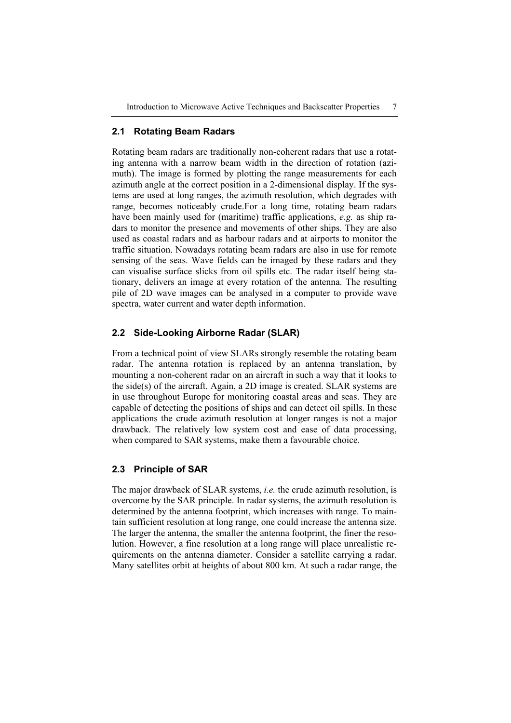# **2.1 Rotating Beam Radars**

Rotating beam radars are traditionally non-coherent radars that use a rotating antenna with a narrow beam width in the direction of rotation (azimuth). The image is formed by plotting the range measurements for each azimuth angle at the correct position in a 2-dimensional display. If the systems are used at long ranges, the azimuth resolution, which degrades with range, becomes noticeably crude.For a long time, rotating beam radars have been mainly used for (maritime) traffic applications, *e.g.* as ship radars to monitor the presence and movements of other ships. They are also used as coastal radars and as harbour radars and at airports to monitor the traffic situation. Nowadays rotating beam radars are also in use for remote sensing of the seas. Wave fields can be imaged by these radars and they can visualise surface slicks from oil spills etc. The radar itself being stationary, delivers an image at every rotation of the antenna. The resulting pile of 2D wave images can be analysed in a computer to provide wave spectra, water current and water depth information.

# **2.2 Side-Looking Airborne Radar (SLAR)**

From a technical point of view SLARs strongly resemble the rotating beam radar. The antenna rotation is replaced by an antenna translation, by mounting a non-coherent radar on an aircraft in such a way that it looks to the side(s) of the aircraft. Again, a 2D image is created. SLAR systems are in use throughout Europe for monitoring coastal areas and seas. They are capable of detecting the positions of ships and can detect oil spills. In these applications the crude azimuth resolution at longer ranges is not a major drawback. The relatively low system cost and ease of data processing, when compared to SAR systems, make them a favourable choice.

#### **2.3 Principle of SAR**

The major drawback of SLAR systems, *i.e.* the crude azimuth resolution, is overcome by the SAR principle. In radar systems, the azimuth resolution is determined by the antenna footprint, which increases with range. To maintain sufficient resolution at long range, one could increase the antenna size. The larger the antenna, the smaller the antenna footprint, the finer the resolution. However, a fine resolution at a long range will place unrealistic requirements on the antenna diameter. Consider a satellite carrying a radar. Many satellites orbit at heights of about 800 km. At such a radar range, the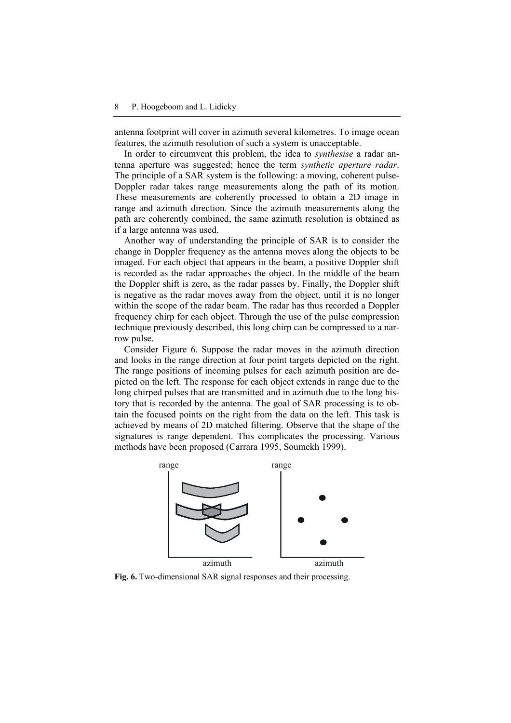antenna footprint will cover in azimuth several kilometres. To image ocean features, the azimuth resolution of such a system is unacceptable.

In order to circumvent this problem, the idea to *synthesise* a radar antenna aperture was suggested; hence the term *synthetic aperture radar*. The principle of a SAR system is the following: a moving, coherent pulse-Doppler radar takes range measurements along the path of its motion. These measurements are coherently processed to obtain a 2D image in range and azimuth direction. Since the azimuth measurements along the path are coherently combined, the same azimuth resolution is obtained as if a large antenna was used.

Another way of understanding the principle of SAR is to consider the change in Doppler frequency as the antenna moves along the objects to be imaged. For each object that appears in the beam, a positive Doppler shift is recorded as the radar approaches the object. In the middle of the beam the Doppler shift is zero, as the radar passes by. Finally, the Doppler shift is negative as the radar moves away from the object, until it is no longer within the scope of the radar beam. The radar has thus recorded a Doppler frequency chirp for each object. Through the use of the pulse compression technique previously described, this long chirp can be compressed to a narrow pulse.

Consider Figure 6. Suppose the radar moves in the azimuth direction and looks in the range direction at four point targets depicted on the right. The range positions of incoming pulses for each azimuth position are depicted on the left. The response for each object extends in range due to the long chirped pulses that are transmitted and in azimuth due to the long history that is recorded by the antenna. The goal of SAR processing is to obtain the focused points on the right from the data on the left. This task is achieved by means of 2D matched filtering. Observe that the shape of the signatures is range dependent. This complicates the processing. Various methods have been proposed (Carrara 1995, Soumekh 1999).



**Fig. 6.** Two-dimensional SAR signal responses and their processing.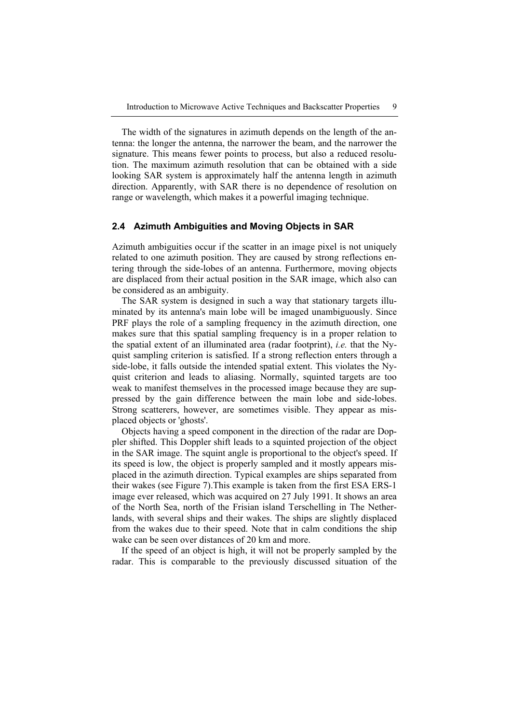The width of the signatures in azimuth depends on the length of the antenna: the longer the antenna, the narrower the beam, and the narrower the signature. This means fewer points to process, but also a reduced resolution. The maximum azimuth resolution that can be obtained with a side looking SAR system is approximately half the antenna length in azimuth direction. Apparently, with SAR there is no dependence of resolution on range or wavelength, which makes it a powerful imaging technique.

#### **2.4 Azimuth Ambiguities and Moving Objects in SAR**

Azimuth ambiguities occur if the scatter in an image pixel is not uniquely related to one azimuth position. They are caused by strong reflections entering through the side-lobes of an antenna. Furthermore, moving objects are displaced from their actual position in the SAR image, which also can be considered as an ambiguity.

The SAR system is designed in such a way that stationary targets illuminated by its antenna's main lobe will be imaged unambiguously. Since PRF plays the role of a sampling frequency in the azimuth direction, one makes sure that this spatial sampling frequency is in a proper relation to the spatial extent of an illuminated area (radar footprint), *i.e.* that the Nyquist sampling criterion is satisfied. If a strong reflection enters through a side-lobe, it falls outside the intended spatial extent. This violates the Nyquist criterion and leads to aliasing. Normally, squinted targets are too weak to manifest themselves in the processed image because they are suppressed by the gain difference between the main lobe and side-lobes. Strong scatterers, however, are sometimes visible. They appear as misplaced objects or 'ghosts'.

Objects having a speed component in the direction of the radar are Doppler shifted. This Doppler shift leads to a squinted projection of the object in the SAR image. The squint angle is proportional to the object's speed. If its speed is low, the object is properly sampled and it mostly appears misplaced in the azimuth direction. Typical examples are ships separated from their wakes (see Figure 7).This example is taken from the first ESA ERS-1 image ever released, which was acquired on 27 July 1991. It shows an area of the North Sea, north of the Frisian island Terschelling in The Netherlands, with several ships and their wakes. The ships are slightly displaced from the wakes due to their speed. Note that in calm conditions the ship wake can be seen over distances of 20 km and more.

If the speed of an object is high, it will not be properly sampled by the radar. This is comparable to the previously discussed situation of the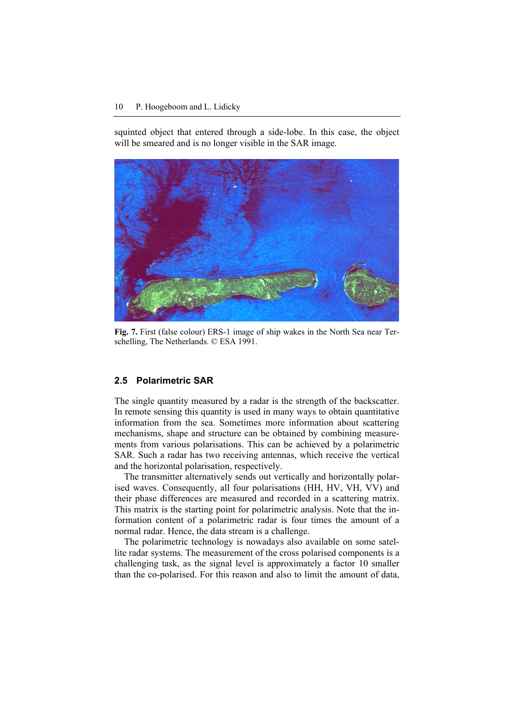squinted object that entered through a side-lobe. In this case, the object will be smeared and is no longer visible in the SAR image.



**Fig. 7.** First (false colour) ERS-1 image of ship wakes in the North Sea near Terschelling, The Netherlands. © ESA 1991.

# **2.5 Polarimetric SAR**

The single quantity measured by a radar is the strength of the backscatter. In remote sensing this quantity is used in many ways to obtain quantitative information from the sea. Sometimes more information about scattering mechanisms, shape and structure can be obtained by combining measurements from various polarisations. This can be achieved by a polarimetric SAR. Such a radar has two receiving antennas, which receive the vertical and the horizontal polarisation, respectively.

The transmitter alternatively sends out vertically and horizontally polarised waves. Consequently, all four polarisations (HH, HV, VH, VV) and their phase differences are measured and recorded in a scattering matrix. This matrix is the starting point for polarimetric analysis. Note that the information content of a polarimetric radar is four times the amount of a normal radar. Hence, the data stream is a challenge.

The polarimetric technology is nowadays also available on some satellite radar systems. The measurement of the cross polarised components is a challenging task, as the signal level is approximately a factor 10 smaller than the co-polarised. For this reason and also to limit the amount of data,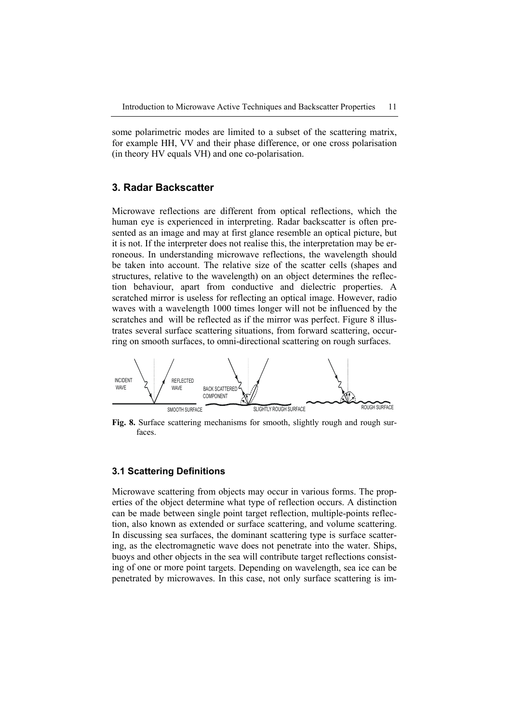some polarimetric modes are limited to a subset of the scattering matrix, for example HH, VV and their phase difference, or one cross polarisation (in theory HV equals VH) and one co-polarisation.

## **3. Radar Backscatter**

Microwave reflections are different from optical reflections, which the human eye is experienced in interpreting. Radar backscatter is often presented as an image and may at first glance resemble an optical picture, but it is not. If the interpreter does not realise this, the interpretation may be erroneous. In understanding microwave reflections, the wavelength should be taken into account. The relative size of the scatter cells (shapes and structures, relative to the wavelength) on an object determines the reflection behaviour, apart from conductive and dielectric properties. A scratched mirror is useless for reflecting an optical image. However, radio waves with a wavelength 1000 times longer will not be influenced by the scratches and will be reflected as if the mirror was perfect. Figure 8 illustrates several surface scattering situations, from forward scattering, occurring on smooth surfaces, to omni-directional scattering on rough surfaces.



**Fig. 8.** Surface scattering mechanisms for smooth, slightly rough and rough surfaces.

#### **3.1 Scattering Definitions**

Microwave scattering from objects may occur in various forms. The properties of the object determine what type of reflection occurs. A distinction can be made between single point target reflection, multiple-points reflection, also known as extended or surface scattering, and volume scattering. In discussing sea surfaces, the dominant scattering type is surface scattering, as the electromagnetic wave does not penetrate into the water. Ships, buoys and other objects in the sea will contribute target reflections consisting of one or more point targets. Depending on wavelength, sea ice can be penetrated by microwaves. In this case, not only surface scattering is im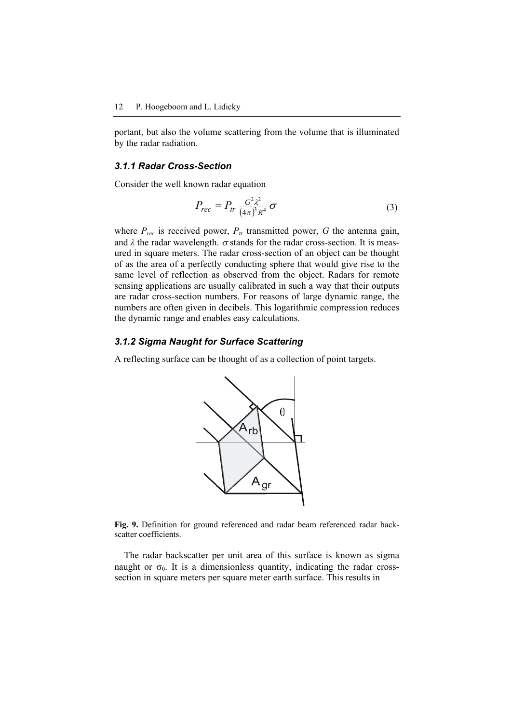portant, but also the volume scattering from the volume that is illuminated by the radar radiation.

#### *3.1.1 Radar Cross-Section*

Consider the well known radar equation

$$
P_{rec} = P_{tr} \frac{G^2 \lambda^2}{(4\pi)^3 R^4} \sigma \tag{3}
$$

where  $P_{rec}$  is received power,  $P_{tr}$  transmitted power, G the antenna gain, and  $\lambda$  the radar wavelength.  $\sigma$  stands for the radar cross-section. It is measured in square meters. The radar cross-section of an object can be thought of as the area of a perfectly conducting sphere that would give rise to the same level of reflection as observed from the object. Radars for remote sensing applications are usually calibrated in such a way that their outputs are radar cross-section numbers. For reasons of large dynamic range, the numbers are often given in decibels. This logarithmic compression reduces the dynamic range and enables easy calculations.

#### *3.1.2 Sigma Naught for Surface Scattering*

A reflecting surface can be thought of as a collection of point targets.



**Fig. 9.** Definition for ground referenced and radar beam referenced radar backscatter coefficients.

The radar backscatter per unit area of this surface is known as sigma naught or  $\sigma_0$ . It is a dimensionless quantity, indicating the radar crosssection in square meters per square meter earth surface. This results in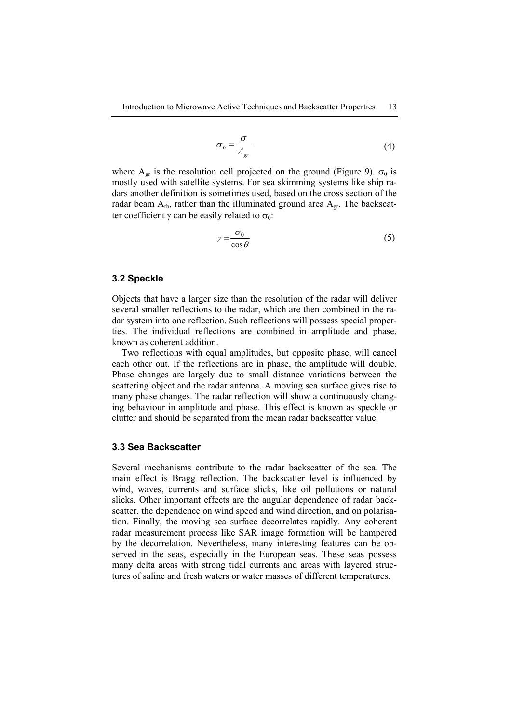$$
\sigma_0 = \frac{\sigma}{A_{gr}} \tag{4}
$$

where  $A_{gr}$  is the resolution cell projected on the ground (Figure 9).  $\sigma_0$  is mostly used with satellite systems. For sea skimming systems like ship radars another definition is sometimes used, based on the cross section of the radar beam  $A_{rb}$ , rather than the illuminated ground area  $A_{gr}$ . The backscatter coefficient  $\gamma$  can be easily related to  $\sigma_0$ :

$$
\gamma = \frac{\sigma_0}{\cos \theta} \tag{5}
$$

### **3.2 Speckle**

Objects that have a larger size than the resolution of the radar will deliver several smaller reflections to the radar, which are then combined in the radar system into one reflection. Such reflections will possess special properties. The individual reflections are combined in amplitude and phase, known as coherent addition.

Two reflections with equal amplitudes, but opposite phase, will cancel each other out. If the reflections are in phase, the amplitude will double. Phase changes are largely due to small distance variations between the scattering object and the radar antenna. A moving sea surface gives rise to many phase changes. The radar reflection will show a continuously changing behaviour in amplitude and phase. This effect is known as speckle or clutter and should be separated from the mean radar backscatter value.

## **3.3 Sea Backscatter**

Several mechanisms contribute to the radar backscatter of the sea. The main effect is Bragg reflection. The backscatter level is influenced by wind, waves, currents and surface slicks, like oil pollutions or natural slicks. Other important effects are the angular dependence of radar backscatter, the dependence on wind speed and wind direction, and on polarisation. Finally, the moving sea surface decorrelates rapidly. Any coherent radar measurement process like SAR image formation will be hampered by the decorrelation. Nevertheless, many interesting features can be observed in the seas, especially in the European seas. These seas possess many delta areas with strong tidal currents and areas with layered structures of saline and fresh waters or water masses of different temperatures.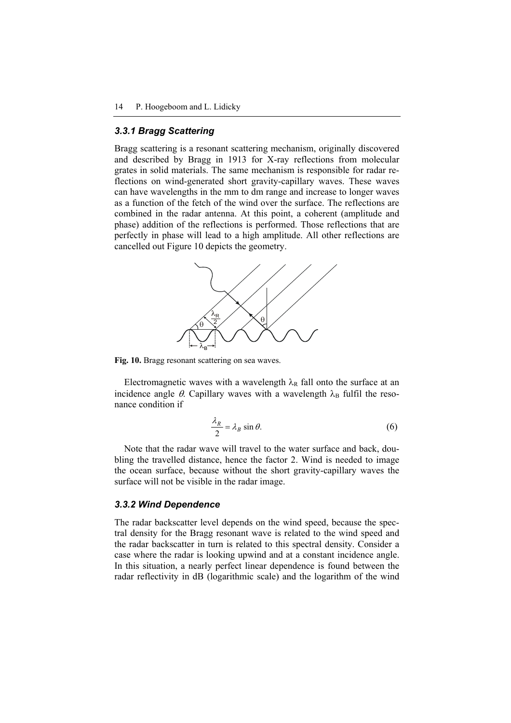## *3.3.1 Bragg Scattering*

Bragg scattering is a resonant scattering mechanism, originally discovered and described by Bragg in 1913 for X-ray reflections from molecular grates in solid materials. The same mechanism is responsible for radar reflections on wind-generated short gravity-capillary waves. These waves can have wavelengths in the mm to dm range and increase to longer waves as a function of the fetch of the wind over the surface. The reflections are combined in the radar antenna. At this point, a coherent (amplitude and phase) addition of the reflections is performed. Those reflections that are perfectly in phase will lead to a high amplitude. All other reflections are cancelled out Figure 10 depicts the geometry.



Fig. 10. Bragg resonant scattering on sea waves.

Electromagnetic waves with a wavelength  $\lambda_R$  fall onto the surface at an incidence angle  $\theta$ . Capillary waves with a wavelength  $\lambda_B$  fulfil the resonance condition if

$$
\frac{\lambda_R}{2} = \lambda_B \sin \theta. \tag{6}
$$

Note that the radar wave will travel to the water surface and back, doubling the travelled distance, hence the factor 2. Wind is needed to image the ocean surface, because without the short gravity-capillary waves the surface will not be visible in the radar image.

## *3.3.2 Wind Dependence*

The radar backscatter level depends on the wind speed, because the spectral density for the Bragg resonant wave is related to the wind speed and the radar backscatter in turn is related to this spectral density. Consider a case where the radar is looking upwind and at a constant incidence angle. In this situation, a nearly perfect linear dependence is found between the radar reflectivity in dB (logarithmic scale) and the logarithm of the wind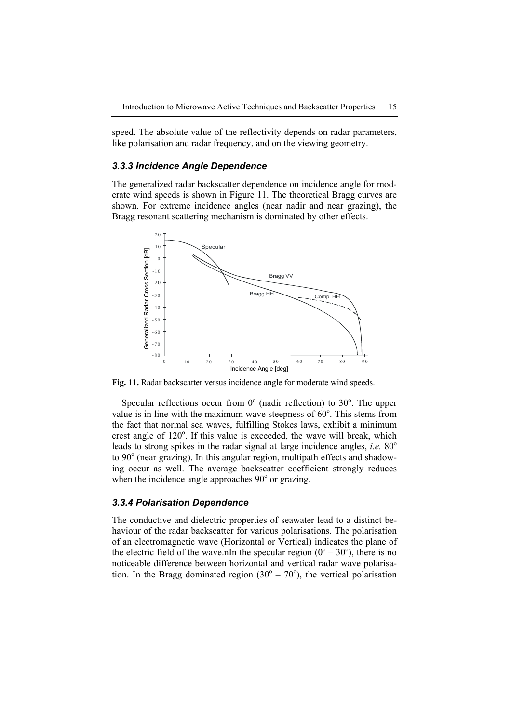speed. The absolute value of the reflectivity depends on radar parameters, like polarisation and radar frequency, and on the viewing geometry.

## *3.3.3 Incidence Angle Dependence*

The generalized radar backscatter dependence on incidence angle for moderate wind speeds is shown in Figure 11. The theoretical Bragg curves are shown. For extreme incidence angles (near nadir and near grazing), the Bragg resonant scattering mechanism is dominated by other effects.



Fig. 11. Radar backscatter versus incidence angle for moderate wind speeds.

Specular reflections occur from  $0^{\circ}$  (nadir reflection) to  $30^{\circ}$ . The upper value is in line with the maximum wave steepness of  $60^\circ$ . This stems from the fact that normal sea waves, fulfilling Stokes laws, exhibit a minimum crest angle of 120°. If this value is exceeded, the wave will break, which leads to strong spikes in the radar signal at large incidence angles, *i.e.*  $80^\circ$ to 90° (near grazing). In this angular region, multipath effects and shadowing occur as well. The average backscatter coefficient strongly reduces when the incidence angle approaches  $90^\circ$  or grazing.

## *3.3.4 Polarisation Dependence*

The conductive and dielectric properties of seawater lead to a distinct behaviour of the radar backscatter for various polarisations. The polarisation of an electromagnetic wave (Horizontal or Vertical) indicates the plane of the electric field of the wave.nIn the specular region  $(0^{\circ} - 30^{\circ})$ , there is no noticeable difference between horizontal and vertical radar wave polarisation. In the Bragg dominated region  $(30^{\circ} - 70^{\circ})$ , the vertical polarisation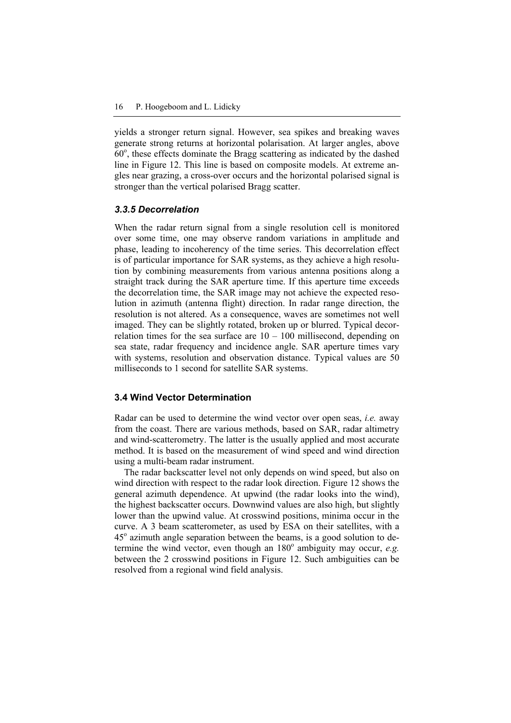yields a stronger return signal. However, sea spikes and breaking waves generate strong returns at horizontal polarisation. At larger angles, above  $60^\circ$ , these effects dominate the Bragg scattering as indicated by the dashed line in Figure 12. This line is based on composite models. At extreme angles near grazing, a cross-over occurs and the horizontal polarised signal is stronger than the vertical polarised Bragg scatter.

#### *3.3.5 Decorrelation*

When the radar return signal from a single resolution cell is monitored over some time, one may observe random variations in amplitude and phase, leading to incoherency of the time series. This decorrelation effect is of particular importance for SAR systems, as they achieve a high resolution by combining measurements from various antenna positions along a straight track during the SAR aperture time. If this aperture time exceeds the decorrelation time, the SAR image may not achieve the expected resolution in azimuth (antenna flight) direction. In radar range direction, the resolution is not altered. As a consequence, waves are sometimes not well imaged. They can be slightly rotated, broken up or blurred. Typical decorrelation times for the sea surface are  $10 - 100$  millisecond, depending on sea state, radar frequency and incidence angle. SAR aperture times vary with systems, resolution and observation distance. Typical values are 50 milliseconds to 1 second for satellite SAR systems.

#### **3.4 Wind Vector Determination**

Radar can be used to determine the wind vector over open seas, *i.e.* away from the coast. There are various methods, based on SAR, radar altimetry and wind-scatterometry. The latter is the usually applied and most accurate method. It is based on the measurement of wind speed and wind direction using a multi-beam radar instrument.

The radar backscatter level not only depends on wind speed, but also on wind direction with respect to the radar look direction. Figure 12 shows the general azimuth dependence. At upwind (the radar looks into the wind), the highest backscatter occurs. Downwind values are also high, but slightly lower than the upwind value. At crosswind positions, minima occur in the curve. A 3 beam scatterometer, as used by ESA on their satellites, with a 45<sup>°</sup> azimuth angle separation between the beams, is a good solution to determine the wind vector, even though an 180<sup>°</sup> ambiguity may occur, e.g. between the 2 crosswind positions in Figure 12. Such ambiguities can be resolved from a regional wind field analysis.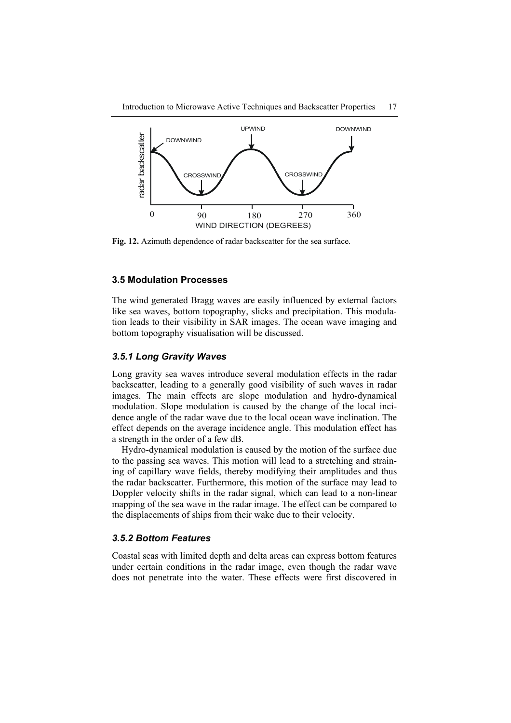

**Fig. 12.** Azimuth dependence of radar backscatter for the sea surface.

## **3.5 Modulation Processes**

The wind generated Bragg waves are easily influenced by external factors like sea waves, bottom topography, slicks and precipitation. This modulation leads to their visibility in SAR images. The ocean wave imaging and bottom topography visualisation will be discussed.

#### *3.5.1 Long Gravity Waves*

Long gravity sea waves introduce several modulation effects in the radar backscatter, leading to a generally good visibility of such waves in radar images. The main effects are slope modulation and hydro-dynamical modulation. Slope modulation is caused by the change of the local incidence angle of the radar wave due to the local ocean wave inclination. The effect depends on the average incidence angle. This modulation effect has a strength in the order of a few dB.

Hydro-dynamical modulation is caused by the motion of the surface due to the passing sea waves. This motion will lead to a stretching and straining of capillary wave fields, thereby modifying their amplitudes and thus the radar backscatter. Furthermore, this motion of the surface may lead to Doppler velocity shifts in the radar signal, which can lead to a non-linear mapping of the sea wave in the radar image. The effect can be compared to the displacements of ships from their wake due to their velocity.

#### *3.5.2 Bottom Features*

Coastal seas with limited depth and delta areas can express bottom features under certain conditions in the radar image, even though the radar wave does not penetrate into the water. These effects were first discovered in